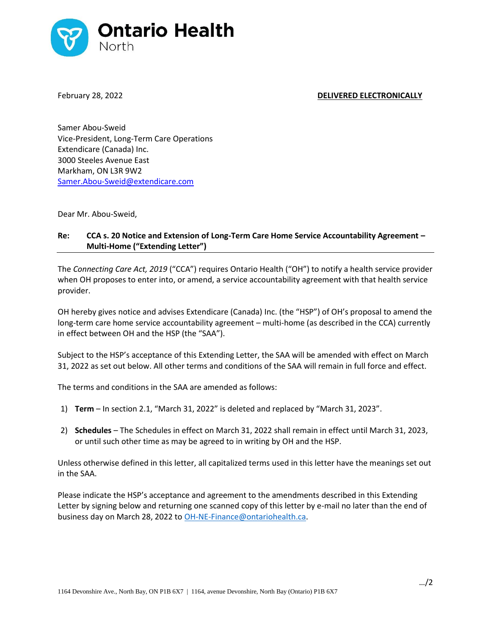

## February 28, 2022 **DELIVERED ELECTRONICALLY**

Samer Abou-Sweid Vice-President, Long-Term Care Operations Extendicare (Canada) Inc. 3000 Steeles Avenue East Markham, ON L3R 9W2 Samer.Abou-Sweid@extendicare.com

Dear Mr. Abou-Sweid,

## **Re: CCA s. 20 Notice and Extension of Long-Term Care Home Service Accountability Agreement – Multi-Home ("Extending Letter")**

The *Connecting Care Act, 2019* ("CCA") requires Ontario Health ("OH") to notify a health service provider when OH proposes to enter into, or amend, a service accountability agreement with that health service provider.

OH hereby gives notice and advises Extendicare (Canada) Inc. (the "HSP") of OH's proposal to amend the long-term care home service accountability agreement – multi-home (as described in the CCA) currently in effect between OH and the HSP (the "SAA").

Subject to the HSP's acceptance of this Extending Letter, the SAA will be amended with effect on March 31, 2022 as set out below. All other terms and conditions of the SAA will remain in full force and effect.

The terms and conditions in the SAA are amended as follows:

- 1) **Term** In section 2.1, "March 31, 2022" is deleted and replaced by "March 31, 2023".
- 2) **Schedules**  The Schedules in effect on March 31, 2022 shall remain in effect until March 31, 2023, or until such other time as may be agreed to in writing by OH and the HSP.

Unless otherwise defined in this letter, all capitalized terms used in this letter have the meanings set out in the SAA.

Please indicate the HSP's acceptance and agreement to the amendments described in this Extending Letter by signing below and returning one scanned copy of this letter by e-mail no later than the end of business day on March 28, 2022 to [OH-NE-Finance@ontariohealth.ca.](mailto:OH-NE-Finance@ontariohealth.ca)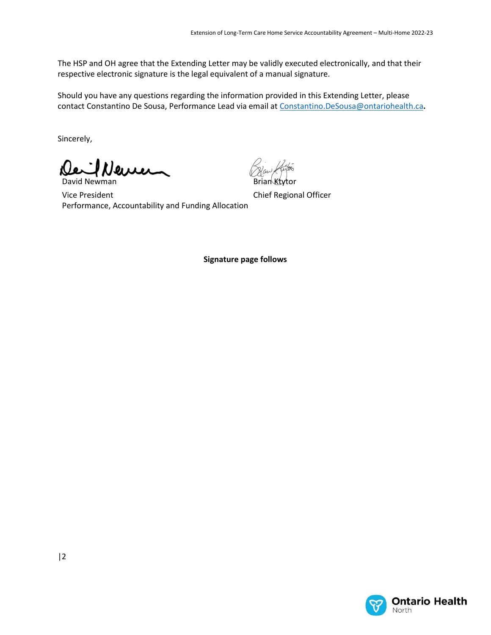The HSP and OH agree that the Extending Letter may be validly executed electronically, and that their respective electronic signature is the legal equivalent of a manual signature.

Should you have any questions regarding the information provided in this Extending Letter, please contact Constantino De Sousa, Performance Lead via email a[t Constantino.DeSousa@ontariohealth.ca](mailto:Constantino.DeSousa@ontariohealth.ca)**.**

Sincerely,

David Newman

Vice President Performance, Accountability and Funding Allocation

Brian Ktytor

Chief Regional Officer

**Signature page follows**